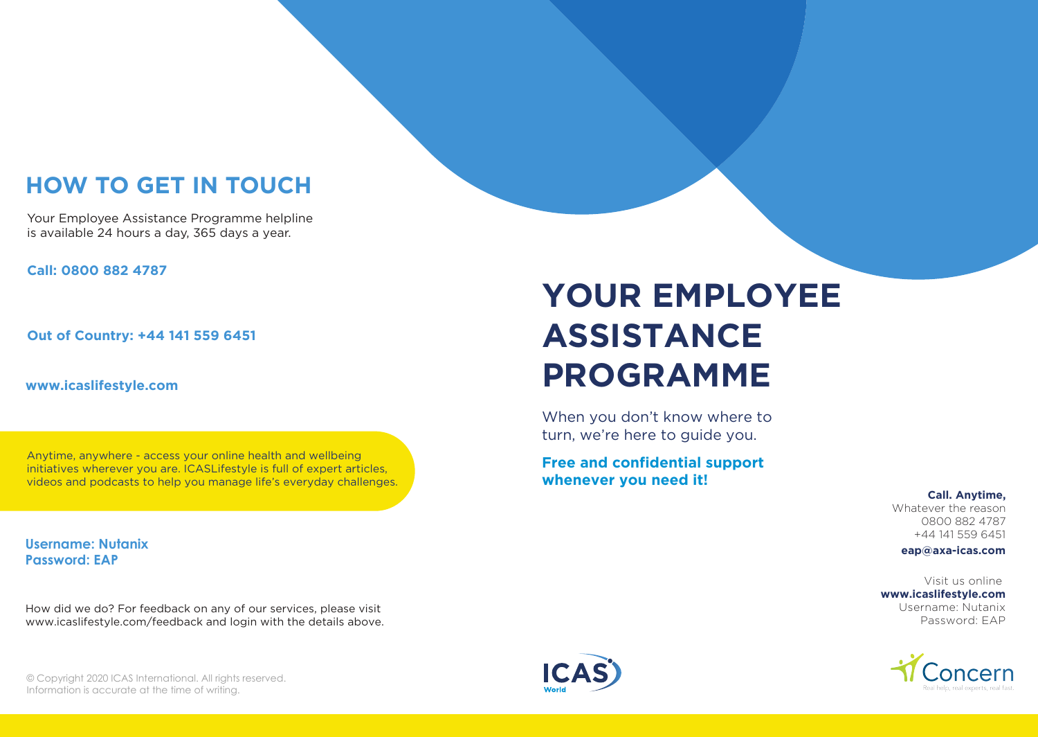# **HOW TO GET IN TOUCH**

Your Employee Assistance Programme helpline is available 24 hours a day, 365 days a year.

**Call: 0800 882 4787**

**Out of Country: +44 141 559 6451**

**www.icaslifestyle.com**

Anytime, anywhere - access your online health and wellbeing initiatives wherever you are. ICASLifestyle is full of expert articles, videos and podcasts to help you manage life's everyday challenges.

**Username: Nutanix Password: EAP**

How did we do? For feedback on any of our services, please visit www.icaslifestyle.com/feedback and login with the details above.

# **YOUR EMPLOYEE ASSISTANCE PROGRAMME**

When you don't know where to turn, we're here to guide you.

**Free and confidential support whenever you need it!**

> **Call. Anytime,** Whatever the reason

0800 882 4787 +44 141 559 6451 **eap@axa-icas.com**

Visit us online **www.icaslifestyle.com** Username: Nutanix

Password: EAP